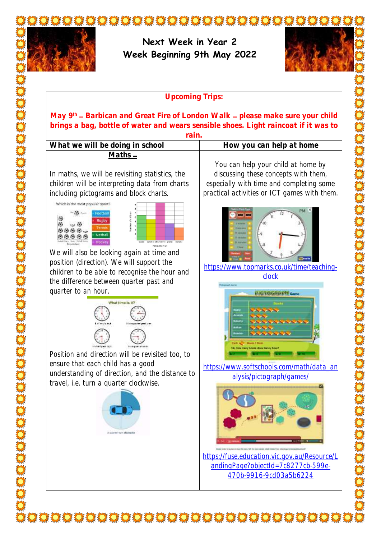

## **Upcoming Trips:**

**May 9th Barbican and Great Fire of London Walk please make sure your child brings a bag, bottle of water and wears sensible shoes. Light raincoat if it was to** 

**rain.** 

What we will be doing in school **How** you can help at home

In maths, we will be revisiting statistics, the children will be interpreting data from charts including pictograms and block charts.

**Maths**





We will also be looking again at time and position (direction). We will support the children to be able to recognise the hour and the difference between quarter past and quarter to an hour.



Position and direction will be revisited too, to ensure that each child has a good understanding of direction, and the distance to travel, i.e. turn a quarter clockwise.



You can help your child at home by discussing these concepts with them, especially with time and completing some practical activities or ICT games with them.



[https://www.topmarks.co.uk/time/teaching-](https://www.topmarks.co.uk/time/teaching-clock)



[https://www.softschools.com/math/data\\_an](https://www.softschools.com/math/data_analysis/pictograph/games/) [alysis/pictograph/games/](https://www.softschools.com/math/data_analysis/pictograph/games/)



[https://fuse.education.vic.gov.au/Resource/L](https://fuse.education.vic.gov.au/Resource/LandingPage?objectId=7c8277cb-599e-470b-9916-9cd03a5b6224) [andingPage?objectId=7c8277cb-599e-](https://fuse.education.vic.gov.au/Resource/LandingPage?objectId=7c8277cb-599e-470b-9916-9cd03a5b6224)[470b-9916-9cd03a5b6224](https://fuse.education.vic.gov.au/Resource/LandingPage?objectId=7c8277cb-599e-470b-9916-9cd03a5b6224)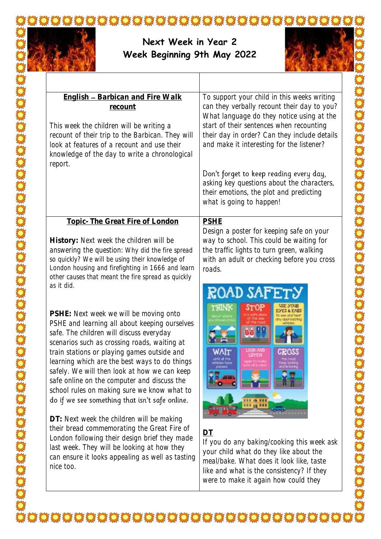

so produced to the state of the state of the state of the state of the state of the state of the state of the

## **Next Week in Year 2 Week Beginning 9th May 2022**



| <b>English - Barbican and Fire Walk</b><br>recount<br>This week the children will be writing a<br>recount of their trip to the Barbican. They will<br>look at features of a recount and use their<br>knowledge of the day to write a chronological<br>report.                                                                                                                                                                                                                                                                                                                                                                                                                   | To support your child in this weeks writing<br>can they verbally recount their day to you?<br>What language do they notice using at the<br>start of their sentences when recounting<br>their day in order? Can they include details<br>and make it interesting for the listener?<br>Don't forget to keep reading every day,<br>asking key questions about the characters,<br>their emotions, the plot and predicting<br>what is going to happen! |
|---------------------------------------------------------------------------------------------------------------------------------------------------------------------------------------------------------------------------------------------------------------------------------------------------------------------------------------------------------------------------------------------------------------------------------------------------------------------------------------------------------------------------------------------------------------------------------------------------------------------------------------------------------------------------------|--------------------------------------------------------------------------------------------------------------------------------------------------------------------------------------------------------------------------------------------------------------------------------------------------------------------------------------------------------------------------------------------------------------------------------------------------|
| Topic- The Great Fire of London<br>History: Next week the children will be<br>answering the question: Why did the fire spread<br>so quickly? We will be using their knowledge of<br>London housing and firefighting in 1666 and learn<br>other causes that meant the fire spread as quickly<br>as it did.                                                                                                                                                                                                                                                                                                                                                                       | <b>PSHE</b><br>Design a poster for keeping safe on your<br>way to school. This could be waiting for<br>the traffic lights to turn green, walking<br>with an adult or checking before you cross<br>roads.<br>ROAD SAFETY                                                                                                                                                                                                                          |
| PSHE: Next week we will be moving onto<br>PSHE and learning all about keeping ourselves<br>safe. The children will discuss everyday<br>scenarios such as crossing roads, waiting at<br>train stations or playing games outside and<br>learning which are the best ways to do things<br>safely. We will then look at how we can keep<br>safe online on the computer and discuss the<br>school rules on making sure we know what to<br>do if we see something that isn't safe online.<br>DT: Next week the children will be making<br>their bread commemorating the Great Fire of<br>London following their design brief they made<br>last week. They will be looking at how they | <b>DITYORI</b><br>re di lecio<br><b>ET @ 193</b><br>DT<br>If you do any baking/cooking this week ask                                                                                                                                                                                                                                                                                                                                             |
| can ensure it looks appealing as well as tasting<br>nice too.                                                                                                                                                                                                                                                                                                                                                                                                                                                                                                                                                                                                                   | your child what do they like about the<br>meal/bake. What does it look like, taste<br>like and what is the consistency? If they<br>were to make it again how could they                                                                                                                                                                                                                                                                          |

**ARANGEMENT**